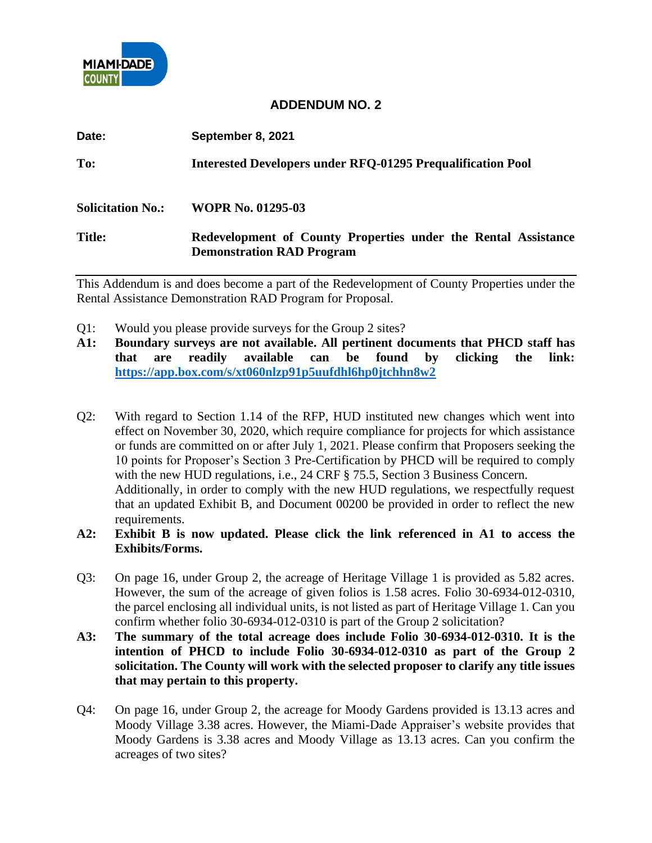

## **ADDENDUM NO. 2**

| Date:                    | September 8, 2021                                                                                  |
|--------------------------|----------------------------------------------------------------------------------------------------|
| To:                      | <b>Interested Developers under RFQ-01295 Prequalification Pool</b>                                 |
| <b>Solicitation No.:</b> | <b>WOPR No. 01295-03</b>                                                                           |
| <b>Title:</b>            | Redevelopment of County Properties under the Rental Assistance<br><b>Demonstration RAD Program</b> |

This Addendum is and does become a part of the Redevelopment of County Properties under the Rental Assistance Demonstration RAD Program for Proposal.

- Q1: Would you please provide surveys for the Group 2 sites?
- **A1: Boundary surveys are not available. All pertinent documents that PHCD staff has that are readily available can be found by clicking the link: <https://app.box.com/s/xt060nlzp91p5uufdhl6hp0jtchhn8w2>**
- Q2: With regard to Section 1.14 of the RFP, HUD instituted new changes which went into effect on November 30, 2020, which require compliance for projects for which assistance or funds are committed on or after July 1, 2021. Please confirm that Proposers seeking the 10 points for Proposer's Section 3 Pre-Certification by PHCD will be required to comply with the new HUD regulations, i.e., 24 CRF § 75.5, Section 3 Business Concern. Additionally, in order to comply with the new HUD regulations, we respectfully request that an updated Exhibit B, and Document 00200 be provided in order to reflect the new requirements.
- **A2: Exhibit B is now updated. Please click the link referenced in A1 to access the Exhibits/Forms.**
- Q3: On page 16, under Group 2, the acreage of Heritage Village 1 is provided as 5.82 acres. However, the sum of the acreage of given folios is 1.58 acres. Folio 30-6934-012-0310, the parcel enclosing all individual units, is not listed as part of Heritage Village 1. Can you confirm whether folio 30-6934-012-0310 is part of the Group 2 solicitation?
- **A3: The summary of the total acreage does include Folio 30-6934-012-0310. It is the intention of PHCD to include Folio 30-6934-012-0310 as part of the Group 2 solicitation. The County will work with the selected proposer to clarify any title issues that may pertain to this property.**
- Q4: On page 16, under Group 2, the acreage for Moody Gardens provided is 13.13 acres and Moody Village 3.38 acres. However, the Miami-Dade Appraiser's website provides that Moody Gardens is 3.38 acres and Moody Village as 13.13 acres. Can you confirm the acreages of two sites?